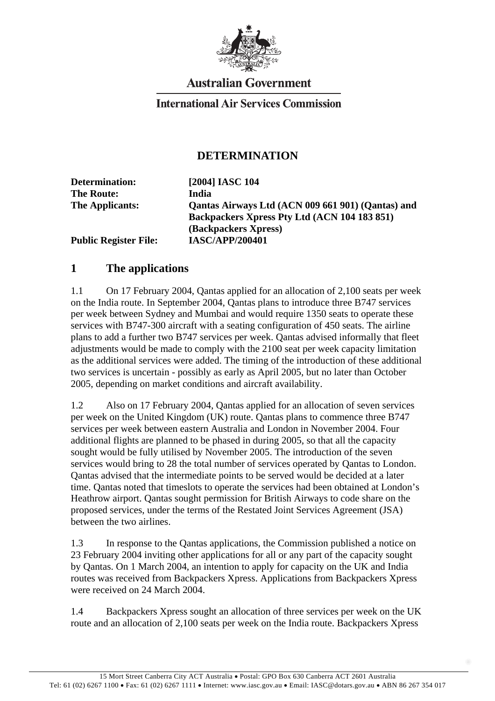

## **Australian Government**

## **International Air Services Commission**

## **DETERMINATION**

| Determination:               | [2004] IASC 104                                   |
|------------------------------|---------------------------------------------------|
| <b>The Route:</b>            | India                                             |
| The Applicants:              | Qantas Airways Ltd (ACN 009 661 901) (Qantas) and |
|                              | Backpackers Xpress Pty Ltd (ACN 104 183 851)      |
|                              | (Backpackers Xpress)                              |
| <b>Public Register File:</b> | <b>IASC/APP/200401</b>                            |

## **1 The applications**

1.1 On 17 February 2004, Qantas applied for an allocation of 2,100 seats per week on the India route. In September 2004, Qantas plans to introduce three B747 services per week between Sydney and Mumbai and would require 1350 seats to operate these services with B747-300 aircraft with a seating configuration of 450 seats. The airline plans to add a further two B747 services per week. Qantas advised informally that fleet adjustments would be made to comply with the 2100 seat per week capacity limitation as the additional services were added. The timing of the introduction of these additional two services is uncertain - possibly as early as April 2005, but no later than October 2005, depending on market conditions and aircraft availability.

1.2 Also on 17 February 2004, Qantas applied for an allocation of seven services per week on the United Kingdom (UK) route. Qantas plans to commence three B747 services per week between eastern Australia and London in November 2004. Four additional flights are planned to be phased in during 2005, so that all the capacity sought would be fully utilised by November 2005. The introduction of the seven services would bring to 28 the total number of services operated by Qantas to London. Qantas advised that the intermediate points to be served would be decided at a later time. Qantas noted that timeslots to operate the services had been obtained at London's Heathrow airport. Qantas sought permission for British Airways to code share on the proposed services, under the terms of the Restated Joint Services Agreement (JSA) between the two airlines.

1.3 In response to the Qantas applications, the Commission published a notice on 23 February 2004 inviting other applications for all or any part of the capacity sought by Qantas. On 1 March 2004, an intention to apply for capacity on the UK and India routes was received from Backpackers Xpress. Applications from Backpackers Xpress were received on 24 March 2004.

1.4 Backpackers Xpress sought an allocation of three services per week on the UK route and an allocation of 2,100 seats per week on the India route. Backpackers Xpress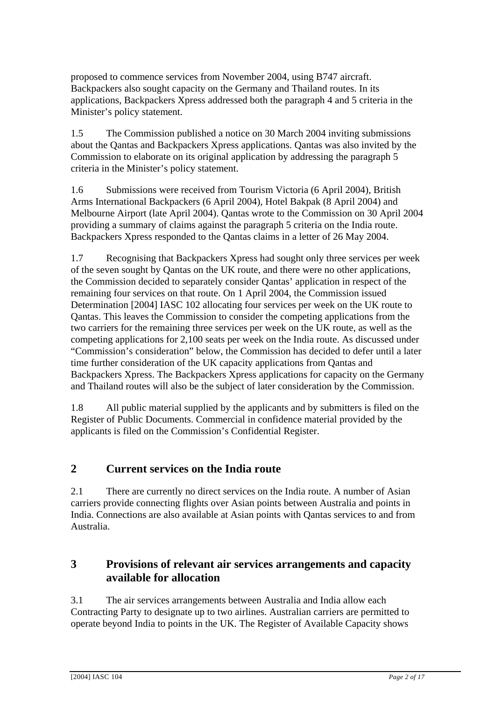proposed to commence services from November 2004, using B747 aircraft. Backpackers also sought capacity on the Germany and Thailand routes. In its applications, Backpackers Xpress addressed both the paragraph 4 and 5 criteria in the Minister's policy statement.

1.5 The Commission published a notice on 30 March 2004 inviting submissions about the Qantas and Backpackers Xpress applications. Qantas was also invited by the Commission to elaborate on its original application by addressing the paragraph 5 criteria in the Minister's policy statement.

1.6 Submissions were received from Tourism Victoria (6 April 2004), British Arms International Backpackers (6 April 2004), Hotel Bakpak (8 April 2004) and Melbourne Airport (late April 2004). Qantas wrote to the Commission on 30 April 2004 providing a summary of claims against the paragraph 5 criteria on the India route. Backpackers Xpress responded to the Qantas claims in a letter of 26 May 2004.

1.7 Recognising that Backpackers Xpress had sought only three services per week of the seven sought by Qantas on the UK route, and there were no other applications, the Commission decided to separately consider Qantas' application in respect of the remaining four services on that route. On 1 April 2004, the Commission issued Determination [2004] IASC 102 allocating four services per week on the UK route to Qantas. This leaves the Commission to consider the competing applications from the two carriers for the remaining three services per week on the UK route, as well as the competing applications for 2,100 seats per week on the India route. As discussed under "Commission's consideration" below, the Commission has decided to defer until a later time further consideration of the UK capacity applications from Qantas and Backpackers Xpress. The Backpackers Xpress applications for capacity on the Germany and Thailand routes will also be the subject of later consideration by the Commission.

1.8 All public material supplied by the applicants and by submitters is filed on the Register of Public Documents. Commercial in confidence material provided by the applicants is filed on the Commission's Confidential Register.

## **2 Current services on the India route**

2.1 There are currently no direct services on the India route. A number of Asian carriers provide connecting flights over Asian points between Australia and points in India. Connections are also available at Asian points with Qantas services to and from Australia.

## **3 Provisions of relevant air services arrangements and capacity available for allocation**

3.1 The air services arrangements between Australia and India allow each Contracting Party to designate up to two airlines. Australian carriers are permitted to operate beyond India to points in the UK. The Register of Available Capacity shows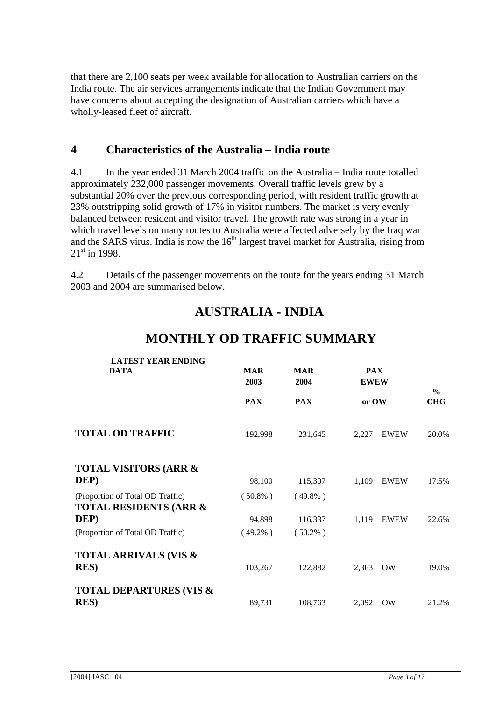that there are 2,100 seats per week available for allocation to Australian carriers on the India route. The air services arrangements indicate that the Indian Government may have concerns about accepting the designation of Australian carriers which have a wholly-leased fleet of aircraft.

## **4 Characteristics of the Australia – India route**

4.1 In the year ended 31 March 2004 traffic on the Australia – India route totalled approximately 232,000 passenger movements. Overall traffic levels grew by a substantial 20% over the previous corresponding period, with resident traffic growth at 23% outstripping solid growth of 17% in visitor numbers. The market is very evenly balanced between resident and visitor travel. The growth rate was strong in a year in which travel levels on many routes to Australia were affected adversely by the Iraq war and the SARS virus. India is now the  $16<sup>th</sup>$  largest travel market for Australia, rising from  $21^{st}$  in 1998.

4.2 Details of the passenger movements on the route for the years ending 31 March 2003 and 2004 are summarised below.

# **AUSTRALIA - INDIA**

| <b>LATEST YEAR ENDING</b><br><b>DATA</b>                              | <b>MAR</b><br>2003 | <b>MAR</b><br>2004 | <b>PAX</b><br><b>EWEW</b> | $\frac{0}{0}$ |
|-----------------------------------------------------------------------|--------------------|--------------------|---------------------------|---------------|
|                                                                       | <b>PAX</b>         | <b>PAX</b>         | or OW                     | <b>CHG</b>    |
| <b>TOTAL OD TRAFFIC</b>                                               | 192,998            | 231,645            | 2,227<br><b>EWEW</b>      | 20.0%         |
| <b>TOTAL VISITORS (ARR &amp;</b><br>DEP)                              | 98,100             | 115,307            | 1,109<br><b>EWEW</b>      | 17.5%         |
| (Proportion of Total OD Traffic)<br><b>TOTAL RESIDENTS (ARR &amp;</b> | $(50.8\%)$         | $(49.8\%)$         |                           |               |
| DEP)                                                                  | 94,898             | 116,337            | 1,119<br><b>EWEW</b>      | 22.6%         |
| (Proportion of Total OD Traffic)                                      | $(49.2\%)$         | $(50.2\%)$         |                           |               |
| <b>TOTAL ARRIVALS (VIS &amp;</b><br><b>RES</b> )                      | 103,267            | 122,882            | 2,363<br><b>OW</b>        | 19.0%         |
| <b>TOTAL DEPARTURES (VIS &amp;</b><br><b>RES</b> )                    | 89,731             | 108,763            | 2.092<br><b>OW</b>        | 21.2%         |

## **MONTHLY OD TRAFFIC SUMMARY**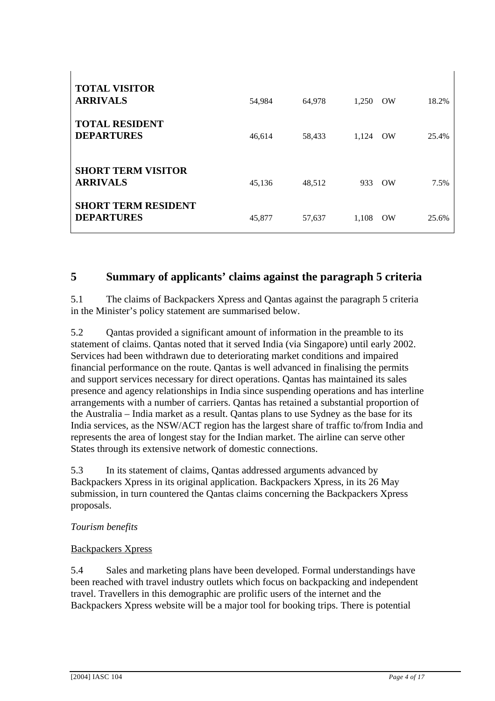| <b>TOTAL VISITOR</b><br><b>ARRIVALS</b>         | 54,984 | 64,978 | 1.250 | <b>OW</b> | 18.2% |
|-------------------------------------------------|--------|--------|-------|-----------|-------|
| <b>TOTAL RESIDENT</b><br><b>DEPARTURES</b>      | 46,614 | 58,433 | 1.124 | OW        | 25.4% |
| <b>SHORT TERM VISITOR</b><br><b>ARRIVALS</b>    | 45,136 | 48,512 | 933   | $\alpha$  | 7.5%  |
| <b>SHORT TERM RESIDENT</b><br><b>DEPARTURES</b> | 45,877 | 57,637 | 1.108 | <b>OW</b> | 25.6% |

## **5 Summary of applicants' claims against the paragraph 5 criteria**

5.1 The claims of Backpackers Xpress and Qantas against the paragraph 5 criteria in the Minister's policy statement are summarised below.

5.2 Qantas provided a significant amount of information in the preamble to its statement of claims. Qantas noted that it served India (via Singapore) until early 2002. Services had been withdrawn due to deteriorating market conditions and impaired financial performance on the route. Qantas is well advanced in finalising the permits and support services necessary for direct operations. Qantas has maintained its sales presence and agency relationships in India since suspending operations and has interline arrangements with a number of carriers. Qantas has retained a substantial proportion of the Australia – India market as a result. Qantas plans to use Sydney as the base for its India services, as the NSW/ACT region has the largest share of traffic to/from India and represents the area of longest stay for the Indian market. The airline can serve other States through its extensive network of domestic connections.

5.3 In its statement of claims, Qantas addressed arguments advanced by Backpackers Xpress in its original application. Backpackers Xpress, in its 26 May submission, in turn countered the Qantas claims concerning the Backpackers Xpress proposals.

#### *Tourism benefits*

 $\overline{1}$ 

#### Backpackers Xpress

5.4 Sales and marketing plans have been developed. Formal understandings have been reached with travel industry outlets which focus on backpacking and independent travel. Travellers in this demographic are prolific users of the internet and the Backpackers Xpress website will be a major tool for booking trips. There is potential

 $\mathbf{I}$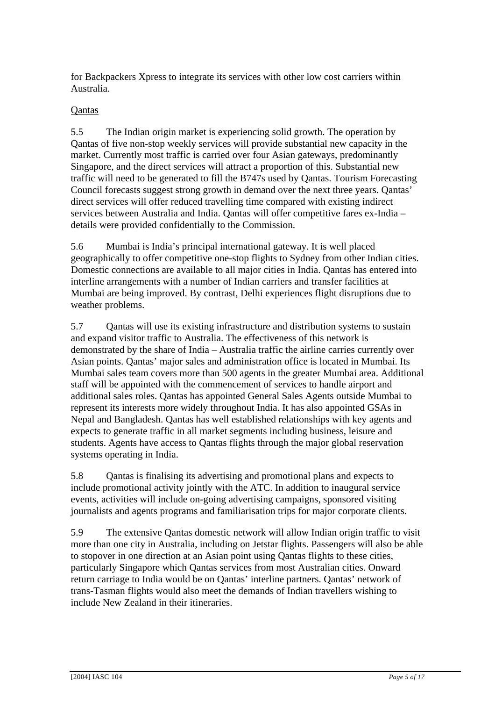for Backpackers Xpress to integrate its services with other low cost carriers within Australia.

#### **O**antas

5.5 The Indian origin market is experiencing solid growth. The operation by Qantas of five non-stop weekly services will provide substantial new capacity in the market. Currently most traffic is carried over four Asian gateways, predominantly Singapore, and the direct services will attract a proportion of this. Substantial new traffic will need to be generated to fill the B747s used by Qantas. Tourism Forecasting Council forecasts suggest strong growth in demand over the next three years. Qantas' direct services will offer reduced travelling time compared with existing indirect services between Australia and India. Qantas will offer competitive fares ex-India – details were provided confidentially to the Commission.

5.6 Mumbai is India's principal international gateway. It is well placed geographically to offer competitive one-stop flights to Sydney from other Indian cities. Domestic connections are available to all major cities in India. Qantas has entered into interline arrangements with a number of Indian carriers and transfer facilities at Mumbai are being improved. By contrast, Delhi experiences flight disruptions due to weather problems.

5.7 Qantas will use its existing infrastructure and distribution systems to sustain and expand visitor traffic to Australia. The effectiveness of this network is demonstrated by the share of India – Australia traffic the airline carries currently over Asian points. Qantas' major sales and administration office is located in Mumbai. Its Mumbai sales team covers more than 500 agents in the greater Mumbai area. Additional staff will be appointed with the commencement of services to handle airport and additional sales roles. Qantas has appointed General Sales Agents outside Mumbai to represent its interests more widely throughout India. It has also appointed GSAs in Nepal and Bangladesh. Qantas has well established relationships with key agents and expects to generate traffic in all market segments including business, leisure and students. Agents have access to Qantas flights through the major global reservation systems operating in India.

5.8 Qantas is finalising its advertising and promotional plans and expects to include promotional activity jointly with the ATC. In addition to inaugural service events, activities will include on-going advertising campaigns, sponsored visiting journalists and agents programs and familiarisation trips for major corporate clients.

5.9 The extensive Qantas domestic network will allow Indian origin traffic to visit more than one city in Australia, including on Jetstar flights. Passengers will also be able to stopover in one direction at an Asian point using Qantas flights to these cities, particularly Singapore which Qantas services from most Australian cities. Onward return carriage to India would be on Qantas' interline partners. Qantas' network of trans-Tasman flights would also meet the demands of Indian travellers wishing to include New Zealand in their itineraries.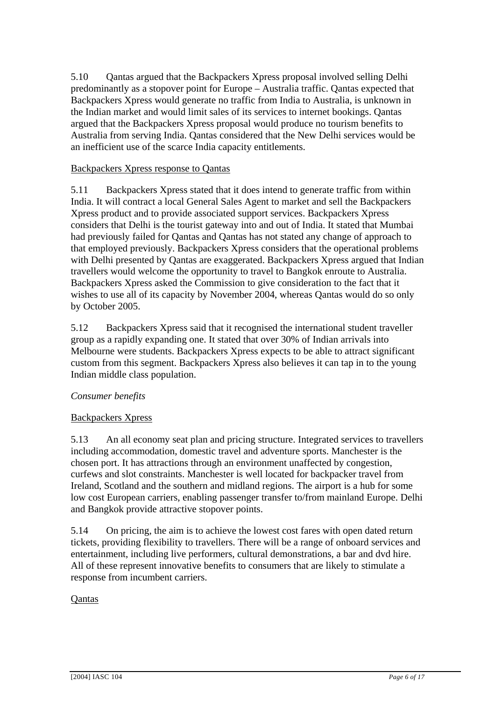5.10 Qantas argued that the Backpackers Xpress proposal involved selling Delhi predominantly as a stopover point for Europe – Australia traffic. Qantas expected that Backpackers Xpress would generate no traffic from India to Australia, is unknown in the Indian market and would limit sales of its services to internet bookings. Qantas argued that the Backpackers Xpress proposal would produce no tourism benefits to Australia from serving India. Qantas considered that the New Delhi services would be an inefficient use of the scarce India capacity entitlements.

#### Backpackers Xpress response to Qantas

5.11 Backpackers Xpress stated that it does intend to generate traffic from within India. It will contract a local General Sales Agent to market and sell the Backpackers Xpress product and to provide associated support services. Backpackers Xpress considers that Delhi is the tourist gateway into and out of India. It stated that Mumbai had previously failed for Qantas and Qantas has not stated any change of approach to that employed previously. Backpackers Xpress considers that the operational problems with Delhi presented by Qantas are exaggerated. Backpackers Xpress argued that Indian travellers would welcome the opportunity to travel to Bangkok enroute to Australia. Backpackers Xpress asked the Commission to give consideration to the fact that it wishes to use all of its capacity by November 2004, whereas Qantas would do so only by October 2005.

5.12 Backpackers Xpress said that it recognised the international student traveller group as a rapidly expanding one. It stated that over 30% of Indian arrivals into Melbourne were students. Backpackers Xpress expects to be able to attract significant custom from this segment. Backpackers Xpress also believes it can tap in to the young Indian middle class population.

#### *Consumer benefits*

#### Backpackers Xpress

5.13 An all economy seat plan and pricing structure. Integrated services to travellers including accommodation, domestic travel and adventure sports. Manchester is the chosen port. It has attractions through an environment unaffected by congestion, curfews and slot constraints. Manchester is well located for backpacker travel from Ireland, Scotland and the southern and midland regions. The airport is a hub for some low cost European carriers, enabling passenger transfer to/from mainland Europe. Delhi and Bangkok provide attractive stopover points.

5.14 On pricing, the aim is to achieve the lowest cost fares with open dated return tickets, providing flexibility to travellers. There will be a range of onboard services and entertainment, including live performers, cultural demonstrations, a bar and dvd hire. All of these represent innovative benefits to consumers that are likely to stimulate a response from incumbent carriers.

#### Qantas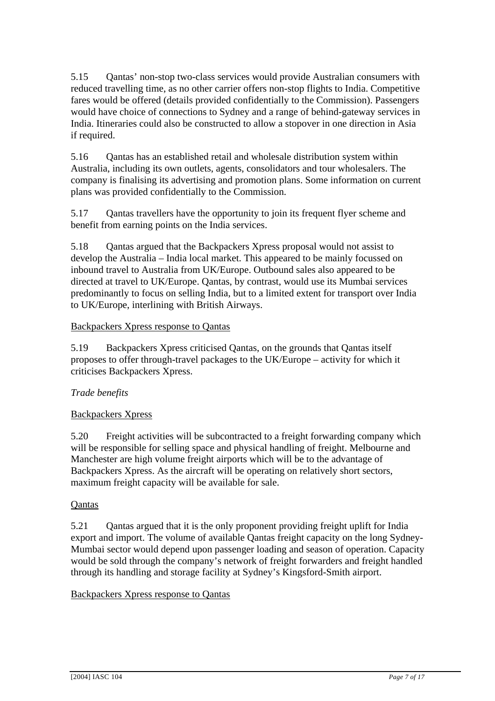5.15 Qantas' non-stop two-class services would provide Australian consumers with reduced travelling time, as no other carrier offers non-stop flights to India. Competitive fares would be offered (details provided confidentially to the Commission). Passengers would have choice of connections to Sydney and a range of behind-gateway services in India. Itineraries could also be constructed to allow a stopover in one direction in Asia if required.

5.16 Qantas has an established retail and wholesale distribution system within Australia, including its own outlets, agents, consolidators and tour wholesalers. The company is finalising its advertising and promotion plans. Some information on current plans was provided confidentially to the Commission.

5.17 Qantas travellers have the opportunity to join its frequent flyer scheme and benefit from earning points on the India services.

5.18 Qantas argued that the Backpackers Xpress proposal would not assist to develop the Australia – India local market. This appeared to be mainly focussed on inbound travel to Australia from UK/Europe. Outbound sales also appeared to be directed at travel to UK/Europe. Qantas, by contrast, would use its Mumbai services predominantly to focus on selling India, but to a limited extent for transport over India to UK/Europe, interlining with British Airways.

#### Backpackers Xpress response to Qantas

5.19 Backpackers Xpress criticised Qantas, on the grounds that Qantas itself proposes to offer through-travel packages to the UK/Europe – activity for which it criticises Backpackers Xpress.

#### *Trade benefits*

#### Backpackers Xpress

5.20 Freight activities will be subcontracted to a freight forwarding company which will be responsible for selling space and physical handling of freight. Melbourne and Manchester are high volume freight airports which will be to the advantage of Backpackers Xpress. As the aircraft will be operating on relatively short sectors, maximum freight capacity will be available for sale.

#### Qantas

5.21 Qantas argued that it is the only proponent providing freight uplift for India export and import. The volume of available Qantas freight capacity on the long Sydney-Mumbai sector would depend upon passenger loading and season of operation. Capacity would be sold through the company's network of freight forwarders and freight handled through its handling and storage facility at Sydney's Kingsford-Smith airport.

#### Backpackers Xpress response to Qantas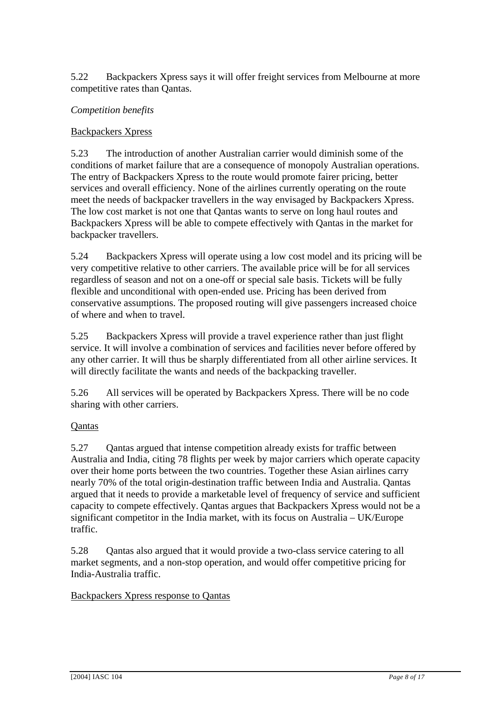5.22 Backpackers Xpress says it will offer freight services from Melbourne at more competitive rates than Qantas.

#### *Competition benefits*

#### Backpackers Xpress

5.23 The introduction of another Australian carrier would diminish some of the conditions of market failure that are a consequence of monopoly Australian operations. The entry of Backpackers Xpress to the route would promote fairer pricing, better services and overall efficiency. None of the airlines currently operating on the route meet the needs of backpacker travellers in the way envisaged by Backpackers Xpress. The low cost market is not one that Qantas wants to serve on long haul routes and Backpackers Xpress will be able to compete effectively with Qantas in the market for backpacker travellers.

5.24 Backpackers Xpress will operate using a low cost model and its pricing will be very competitive relative to other carriers. The available price will be for all services regardless of season and not on a one-off or special sale basis. Tickets will be fully flexible and unconditional with open-ended use. Pricing has been derived from conservative assumptions. The proposed routing will give passengers increased choice of where and when to travel.

5.25 Backpackers Xpress will provide a travel experience rather than just flight service. It will involve a combination of services and facilities never before offered by any other carrier. It will thus be sharply differentiated from all other airline services. It will directly facilitate the wants and needs of the backpacking traveller.

5.26 All services will be operated by Backpackers Xpress. There will be no code sharing with other carriers.

#### Qantas

5.27 Qantas argued that intense competition already exists for traffic between Australia and India, citing 78 flights per week by major carriers which operate capacity over their home ports between the two countries. Together these Asian airlines carry nearly 70% of the total origin-destination traffic between India and Australia. Qantas argued that it needs to provide a marketable level of frequency of service and sufficient capacity to compete effectively. Qantas argues that Backpackers Xpress would not be a significant competitor in the India market, with its focus on Australia – UK/Europe traffic.

5.28 Qantas also argued that it would provide a two-class service catering to all market segments, and a non-stop operation, and would offer competitive pricing for India-Australia traffic.

#### Backpackers Xpress response to Qantas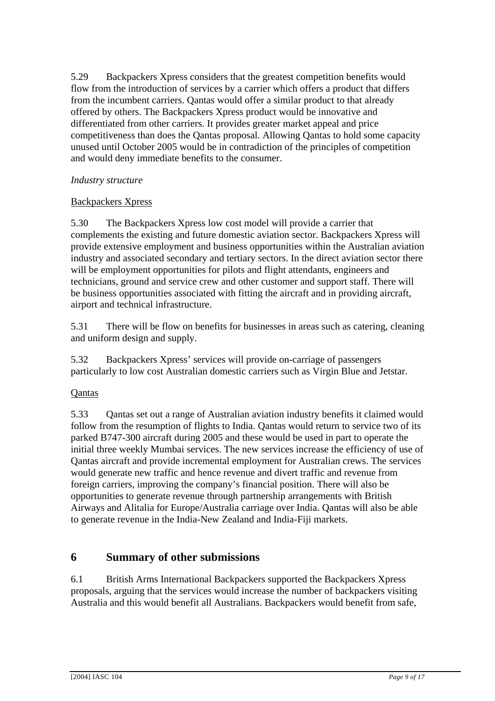5.29 Backpackers Xpress considers that the greatest competition benefits would flow from the introduction of services by a carrier which offers a product that differs from the incumbent carriers. Qantas would offer a similar product to that already offered by others. The Backpackers Xpress product would be innovative and differentiated from other carriers. It provides greater market appeal and price competitiveness than does the Qantas proposal. Allowing Qantas to hold some capacity unused until October 2005 would be in contradiction of the principles of competition and would deny immediate benefits to the consumer.

#### *Industry structure*

#### Backpackers Xpress

5.30 The Backpackers Xpress low cost model will provide a carrier that complements the existing and future domestic aviation sector. Backpackers Xpress will provide extensive employment and business opportunities within the Australian aviation industry and associated secondary and tertiary sectors. In the direct aviation sector there will be employment opportunities for pilots and flight attendants, engineers and technicians, ground and service crew and other customer and support staff. There will be business opportunities associated with fitting the aircraft and in providing aircraft, airport and technical infrastructure.

5.31 There will be flow on benefits for businesses in areas such as catering, cleaning and uniform design and supply.

5.32 Backpackers Xpress' services will provide on-carriage of passengers particularly to low cost Australian domestic carriers such as Virgin Blue and Jetstar.

#### **Qantas**

5.33 Qantas set out a range of Australian aviation industry benefits it claimed would follow from the resumption of flights to India. Qantas would return to service two of its parked B747-300 aircraft during 2005 and these would be used in part to operate the initial three weekly Mumbai services. The new services increase the efficiency of use of Qantas aircraft and provide incremental employment for Australian crews. The services would generate new traffic and hence revenue and divert traffic and revenue from foreign carriers, improving the company's financial position. There will also be opportunities to generate revenue through partnership arrangements with British Airways and Alitalia for Europe/Australia carriage over India. Qantas will also be able to generate revenue in the India-New Zealand and India-Fiji markets.

### **6 Summary of other submissions**

6.1 British Arms International Backpackers supported the Backpackers Xpress proposals, arguing that the services would increase the number of backpackers visiting Australia and this would benefit all Australians. Backpackers would benefit from safe,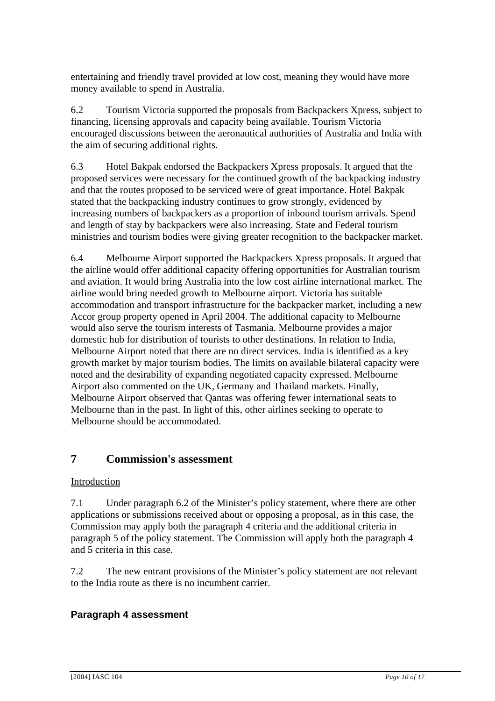entertaining and friendly travel provided at low cost, meaning they would have more money available to spend in Australia.

6.2 Tourism Victoria supported the proposals from Backpackers Xpress, subject to financing, licensing approvals and capacity being available. Tourism Victoria encouraged discussions between the aeronautical authorities of Australia and India with the aim of securing additional rights.

6.3 Hotel Bakpak endorsed the Backpackers Xpress proposals. It argued that the proposed services were necessary for the continued growth of the backpacking industry and that the routes proposed to be serviced were of great importance. Hotel Bakpak stated that the backpacking industry continues to grow strongly, evidenced by increasing numbers of backpackers as a proportion of inbound tourism arrivals. Spend and length of stay by backpackers were also increasing. State and Federal tourism ministries and tourism bodies were giving greater recognition to the backpacker market.

6.4 Melbourne Airport supported the Backpackers Xpress proposals. It argued that the airline would offer additional capacity offering opportunities for Australian tourism and aviation. It would bring Australia into the low cost airline international market. The airline would bring needed growth to Melbourne airport. Victoria has suitable accommodation and transport infrastructure for the backpacker market, including a new Accor group property opened in April 2004. The additional capacity to Melbourne would also serve the tourism interests of Tasmania. Melbourne provides a major domestic hub for distribution of tourists to other destinations. In relation to India, Melbourne Airport noted that there are no direct services. India is identified as a key growth market by major tourism bodies. The limits on available bilateral capacity were noted and the desirability of expanding negotiated capacity expressed. Melbourne Airport also commented on the UK, Germany and Thailand markets. Finally, Melbourne Airport observed that Qantas was offering fewer international seats to Melbourne than in the past. In light of this, other airlines seeking to operate to Melbourne should be accommodated.

## **7 Commission's assessment**

#### Introduction

7.1 Under paragraph 6.2 of the Minister's policy statement, where there are other applications or submissions received about or opposing a proposal, as in this case, the Commission may apply both the paragraph 4 criteria and the additional criteria in paragraph 5 of the policy statement. The Commission will apply both the paragraph 4 and 5 criteria in this case.

7.2 The new entrant provisions of the Minister's policy statement are not relevant to the India route as there is no incumbent carrier.

#### **Paragraph 4 assessment**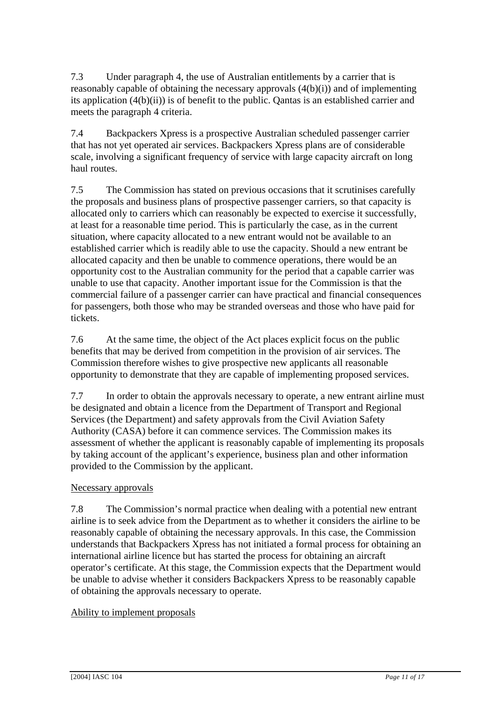7.3 Under paragraph 4, the use of Australian entitlements by a carrier that is reasonably capable of obtaining the necessary approvals  $(4(b)(i))$  and of implementing its application (4(b)(ii)) is of benefit to the public. Qantas is an established carrier and meets the paragraph 4 criteria.

7.4 Backpackers Xpress is a prospective Australian scheduled passenger carrier that has not yet operated air services. Backpackers Xpress plans are of considerable scale, involving a significant frequency of service with large capacity aircraft on long haul routes.

7.5 The Commission has stated on previous occasions that it scrutinises carefully the proposals and business plans of prospective passenger carriers, so that capacity is allocated only to carriers which can reasonably be expected to exercise it successfully, at least for a reasonable time period. This is particularly the case, as in the current situation, where capacity allocated to a new entrant would not be available to an established carrier which is readily able to use the capacity. Should a new entrant be allocated capacity and then be unable to commence operations, there would be an opportunity cost to the Australian community for the period that a capable carrier was unable to use that capacity. Another important issue for the Commission is that the commercial failure of a passenger carrier can have practical and financial consequences for passengers, both those who may be stranded overseas and those who have paid for tickets.

7.6 At the same time, the object of the Act places explicit focus on the public benefits that may be derived from competition in the provision of air services. The Commission therefore wishes to give prospective new applicants all reasonable opportunity to demonstrate that they are capable of implementing proposed services.

7.7 In order to obtain the approvals necessary to operate, a new entrant airline must be designated and obtain a licence from the Department of Transport and Regional Services (the Department) and safety approvals from the Civil Aviation Safety Authority (CASA) before it can commence services. The Commission makes its assessment of whether the applicant is reasonably capable of implementing its proposals by taking account of the applicant's experience, business plan and other information provided to the Commission by the applicant.

#### Necessary approvals

7.8 The Commission's normal practice when dealing with a potential new entrant airline is to seek advice from the Department as to whether it considers the airline to be reasonably capable of obtaining the necessary approvals. In this case, the Commission understands that Backpackers Xpress has not initiated a formal process for obtaining an international airline licence but has started the process for obtaining an aircraft operator's certificate. At this stage, the Commission expects that the Department would be unable to advise whether it considers Backpackers Xpress to be reasonably capable of obtaining the approvals necessary to operate.

#### Ability to implement proposals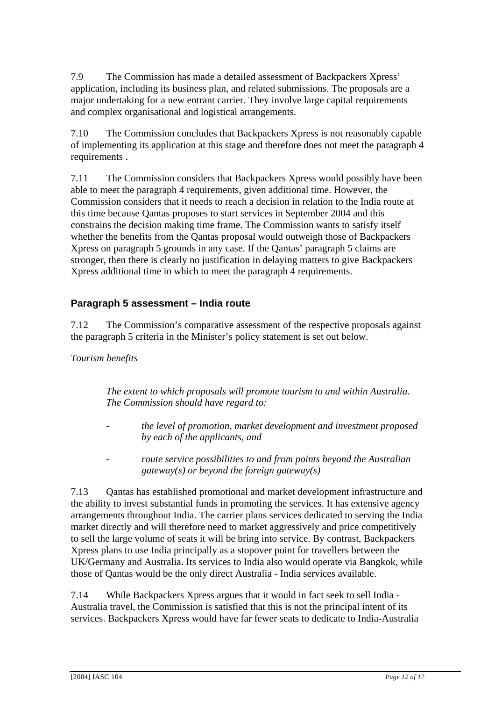7.9 The Commission has made a detailed assessment of Backpackers Xpress' application, including its business plan, and related submissions. The proposals are a major undertaking for a new entrant carrier. They involve large capital requirements and complex organisational and logistical arrangements.

7.10 The Commission concludes that Backpackers Xpress is not reasonably capable of implementing its application at this stage and therefore does not meet the paragraph 4 requirements .

7.11 The Commission considers that Backpackers Xpress would possibly have been able to meet the paragraph 4 requirements, given additional time. However, the Commission considers that it needs to reach a decision in relation to the India route at this time because Qantas proposes to start services in September 2004 and this constrains the decision making time frame. The Commission wants to satisfy itself whether the benefits from the Qantas proposal would outweigh those of Backpackers Xpress on paragraph 5 grounds in any case. If the Qantas' paragraph 5 claims are stronger, then there is clearly no justification in delaying matters to give Backpackers Xpress additional time in which to meet the paragraph 4 requirements.

## **Paragraph 5 assessment – India route**

7.12 The Commission's comparative assessment of the respective proposals against the paragraph 5 criteria in the Minister's policy statement is set out below.

#### *Tourism benefits*

*The extent to which proposals will promote tourism to and within Australia. The Commission should have regard to:* 

- *the level of promotion, market development and investment proposed by each of the applicants, and*
- *route service possibilities to and from points beyond the Australian gateway(s) or beyond the foreign gateway(s)*

7.13 Qantas has established promotional and market development infrastructure and the ability to invest substantial funds in promoting the services. It has extensive agency arrangements throughout India. The carrier plans services dedicated to serving the India market directly and will therefore need to market aggressively and price competitively to sell the large volume of seats it will be bring into service. By contrast, Backpackers Xpress plans to use India principally as a stopover point for travellers between the UK/Germany and Australia. Its services to India also would operate via Bangkok, while those of Qantas would be the only direct Australia - India services available.

7.14 While Backpackers Xpress argues that it would in fact seek to sell India - Australia travel, the Commission is satisfied that this is not the principal intent of its services. Backpackers Xpress would have far fewer seats to dedicate to India-Australia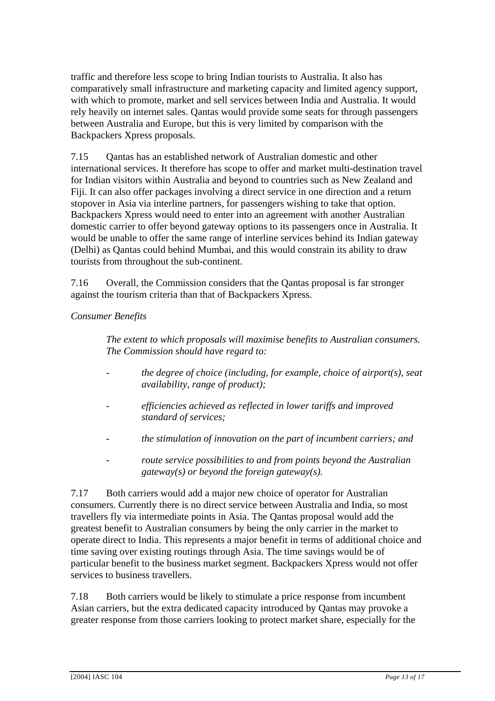traffic and therefore less scope to bring Indian tourists to Australia. It also has comparatively small infrastructure and marketing capacity and limited agency support, with which to promote, market and sell services between India and Australia. It would rely heavily on internet sales. Qantas would provide some seats for through passengers between Australia and Europe, but this is very limited by comparison with the Backpackers Xpress proposals.

7.15 Qantas has an established network of Australian domestic and other international services. It therefore has scope to offer and market multi-destination travel for Indian visitors within Australia and beyond to countries such as New Zealand and Fiji. It can also offer packages involving a direct service in one direction and a return stopover in Asia via interline partners, for passengers wishing to take that option. Backpackers Xpress would need to enter into an agreement with another Australian domestic carrier to offer beyond gateway options to its passengers once in Australia. It would be unable to offer the same range of interline services behind its Indian gateway (Delhi) as Qantas could behind Mumbai, and this would constrain its ability to draw tourists from throughout the sub-continent.

7.16 Overall, the Commission considers that the Qantas proposal is far stronger against the tourism criteria than that of Backpackers Xpress.

#### *Consumer Benefits*

*The extent to which proposals will maximise benefits to Australian consumers. The Commission should have regard to:* 

- *the degree of choice (including, for example, choice of airport(s), seat availability, range of product);*
- *efficiencies achieved as reflected in lower tariffs and improved standard of services;*
- *the stimulation of innovation on the part of incumbent carriers; and*
- *route service possibilities to and from points beyond the Australian gateway(s) or beyond the foreign gateway(s).*

7.17 Both carriers would add a major new choice of operator for Australian consumers. Currently there is no direct service between Australia and India, so most travellers fly via intermediate points in Asia. The Qantas proposal would add the greatest benefit to Australian consumers by being the only carrier in the market to operate direct to India. This represents a major benefit in terms of additional choice and time saving over existing routings through Asia. The time savings would be of particular benefit to the business market segment. Backpackers Xpress would not offer services to business travellers.

7.18 Both carriers would be likely to stimulate a price response from incumbent Asian carriers, but the extra dedicated capacity introduced by Qantas may provoke a greater response from those carriers looking to protect market share, especially for the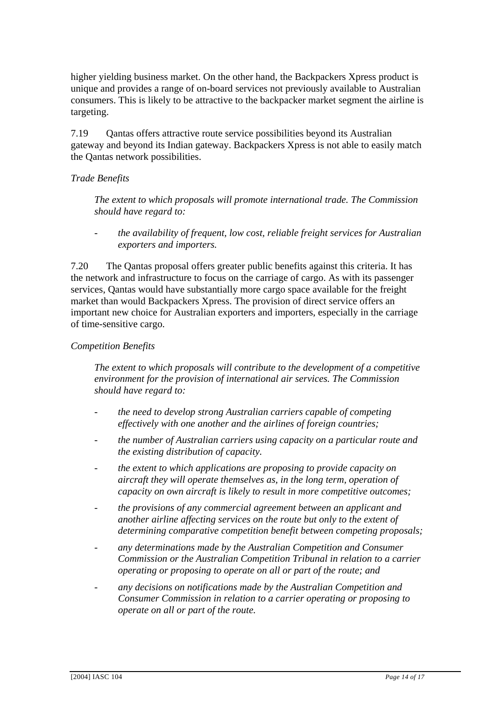higher yielding business market. On the other hand, the Backpackers Xpress product is unique and provides a range of on-board services not previously available to Australian consumers. This is likely to be attractive to the backpacker market segment the airline is targeting.

7.19 Qantas offers attractive route service possibilities beyond its Australian gateway and beyond its Indian gateway. Backpackers Xpress is not able to easily match the Qantas network possibilities.

#### *Trade Benefits*

*The extent to which proposals will promote international trade. The Commission should have regard to:* 

*- the availability of frequent, low cost, reliable freight services for Australian exporters and importers.* 

7.20 The Qantas proposal offers greater public benefits against this criteria. It has the network and infrastructure to focus on the carriage of cargo. As with its passenger services, Qantas would have substantially more cargo space available for the freight market than would Backpackers Xpress. The provision of direct service offers an important new choice for Australian exporters and importers, especially in the carriage of time-sensitive cargo.

#### *Competition Benefits*

*The extent to which proposals will contribute to the development of a competitive environment for the provision of international air services. The Commission should have regard to:* 

- *the need to develop strong Australian carriers capable of competing effectively with one another and the airlines of foreign countries;*
- *the number of Australian carriers using capacity on a particular route and the existing distribution of capacity.*
- *the extent to which applications are proposing to provide capacity on aircraft they will operate themselves as, in the long term, operation of capacity on own aircraft is likely to result in more competitive outcomes;*
- *the provisions of any commercial agreement between an applicant and another airline affecting services on the route but only to the extent of determining comparative competition benefit between competing proposals;*
- *any determinations made by the Australian Competition and Consumer Commission or the Australian Competition Tribunal in relation to a carrier operating or proposing to operate on all or part of the route; and*
- *any decisions on notifications made by the Australian Competition and Consumer Commission in relation to a carrier operating or proposing to operate on all or part of the route.*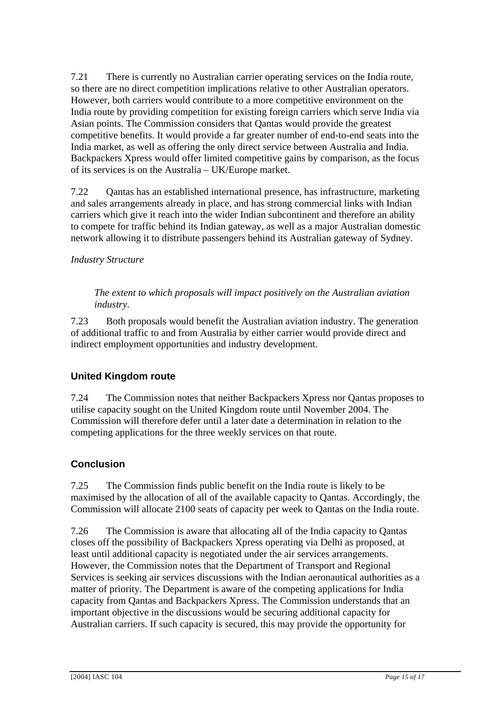7.21 There is currently no Australian carrier operating services on the India route, so there are no direct competition implications relative to other Australian operators. However, both carriers would contribute to a more competitive environment on the India route by providing competition for existing foreign carriers which serve India via Asian points. The Commission considers that Qantas would provide the greatest competitive benefits. It would provide a far greater number of end-to-end seats into the India market, as well as offering the only direct service between Australia and India. Backpackers Xpress would offer limited competitive gains by comparison, as the focus of its services is on the Australia – UK/Europe market.

7.22 Qantas has an established international presence, has infrastructure, marketing and sales arrangements already in place, and has strong commercial links with Indian carriers which give it reach into the wider Indian subcontinent and therefore an ability to compete for traffic behind its Indian gateway, as well as a major Australian domestic network allowing it to distribute passengers behind its Australian gateway of Sydney.

#### *Industry Structure*

*The extent to which proposals will impact positively on the Australian aviation industry.* 

7.23 Both proposals would benefit the Australian aviation industry. The generation of additional traffic to and from Australia by either carrier would provide direct and indirect employment opportunities and industry development.

### **United Kingdom route**

7.24 The Commission notes that neither Backpackers Xpress nor Qantas proposes to utilise capacity sought on the United Kingdom route until November 2004. The Commission will therefore defer until a later date a determination in relation to the competing applications for the three weekly services on that route.

### **Conclusion**

7.25 The Commission finds public benefit on the India route is likely to be maximised by the allocation of all of the available capacity to Qantas. Accordingly, the Commission will allocate 2100 seats of capacity per week to Qantas on the India route.

7.26 The Commission is aware that allocating all of the India capacity to Qantas closes off the possibility of Backpackers Xpress operating via Delhi as proposed, at least until additional capacity is negotiated under the air services arrangements. However, the Commission notes that the Department of Transport and Regional Services is seeking air services discussions with the Indian aeronautical authorities as a matter of priority. The Department is aware of the competing applications for India capacity from Qantas and Backpackers Xpress. The Commission understands that an important objective in the discussions would be securing additional capacity for Australian carriers. If such capacity is secured, this may provide the opportunity for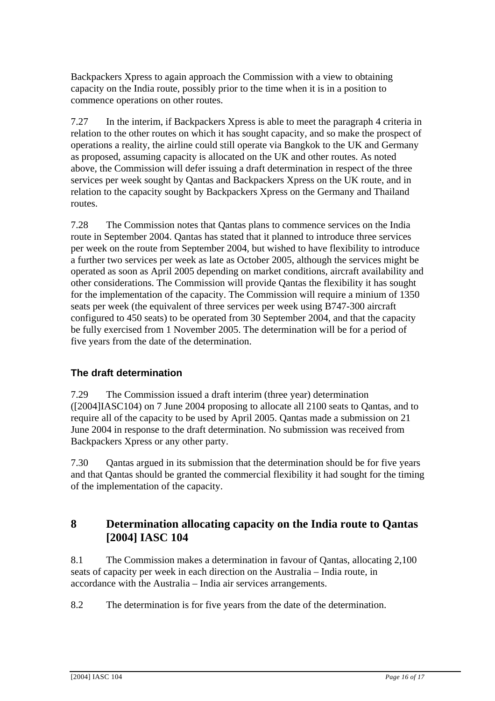Backpackers Xpress to again approach the Commission with a view to obtaining capacity on the India route, possibly prior to the time when it is in a position to commence operations on other routes.

7.27 In the interim, if Backpackers Xpress is able to meet the paragraph 4 criteria in relation to the other routes on which it has sought capacity, and so make the prospect of operations a reality, the airline could still operate via Bangkok to the UK and Germany as proposed, assuming capacity is allocated on the UK and other routes. As noted above, the Commission will defer issuing a draft determination in respect of the three services per week sought by Qantas and Backpackers Xpress on the UK route, and in relation to the capacity sought by Backpackers Xpress on the Germany and Thailand routes.

7.28 The Commission notes that Qantas plans to commence services on the India route in September 2004. Qantas has stated that it planned to introduce three services per week on the route from September 2004, but wished to have flexibility to introduce a further two services per week as late as October 2005, although the services might be operated as soon as April 2005 depending on market conditions, aircraft availability and other considerations. The Commission will provide Qantas the flexibility it has sought for the implementation of the capacity. The Commission will require a minium of 1350 seats per week (the equivalent of three services per week using B747-300 aircraft configured to 450 seats) to be operated from 30 September 2004, and that the capacity be fully exercised from 1 November 2005. The determination will be for a period of five years from the date of the determination.

### **The draft determination**

7.29 The Commission issued a draft interim (three year) determination ([2004]IASC104) on 7 June 2004 proposing to allocate all 2100 seats to Qantas, and to require all of the capacity to be used by April 2005. Qantas made a submission on 21 June 2004 in response to the draft determination. No submission was received from Backpackers Xpress or any other party.

7.30 Qantas argued in its submission that the determination should be for five years and that Qantas should be granted the commercial flexibility it had sought for the timing of the implementation of the capacity.

### **8 Determination allocating capacity on the India route to Qantas [2004] IASC 104**

8.1 The Commission makes a determination in favour of Qantas, allocating 2,100 seats of capacity per week in each direction on the Australia – India route, in accordance with the Australia – India air services arrangements.

8.2 The determination is for five years from the date of the determination.